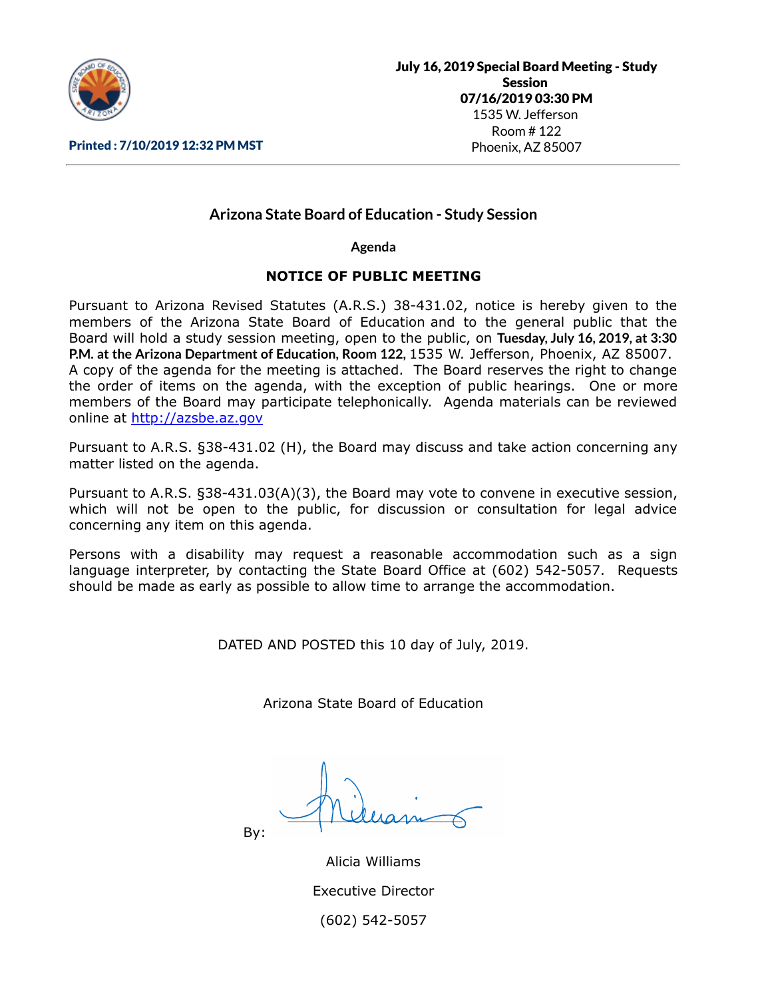

### Printed : 7/10/2019 12:32 PM MST

# **Arizona State Board of Education - Study Session**

**Agenda**

### **NOTICE OF PUBLIC MEETING**

Pursuant to Arizona Revised Statutes (A.R.S.) 38-431.02, notice is hereby given to the members of the Arizona State Board of Education and to the general public that the Board will hold a study session meeting, open to the public, on **Tuesday, July 16, 2019, at 3:30 P.M. at the Arizona Department of Education, Room 122,** 1535 W. Jefferson, Phoenix, AZ 85007. A copy of the agenda for the meeting is attached. The Board reserves the right to change the order of items on the agenda, with the exception of public hearings. One or more members of the Board may participate telephonically. Agenda materials can be reviewed online at [http://azsbe.az.gov](http://azsbe.az.gov/)

Pursuant to A.R.S. §38-431.02 (H), the Board may discuss and take action concerning any matter listed on the agenda.

Pursuant to A.R.S. §38-431.03(A)(3), the Board may vote to convene in executive session, which will not be open to the public, for discussion or consultation for legal advice concerning any item on this agenda.

Persons with a disability may request a reasonable accommodation such as a sign language interpreter, by contacting the State Board Office at (602) 542-5057. Requests should be made as early as possible to allow time to arrange the accommodation.

DATED AND POSTED this 10 day of July, 2019.

Arizona State Board of Education

By:

Alicia Williams Executive Director (602) 542-5057